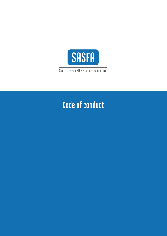

# Code of conduct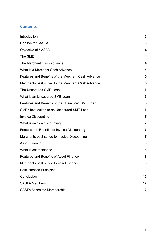# **Contents**

| Introduction                                       | 2  |
|----------------------------------------------------|----|
| Reason for SASFA                                   | 3  |
| <b>Objective of SASFA</b>                          | 4  |
| The SME                                            | 4  |
| The Merchant Cash Advance                          | 4  |
| What is a Merchant Cash Advance                    | 4  |
| Features and Benefits of the Merchant Cash Advance | 5  |
| Merchants best suited to the Merchant Cash Advance | 5  |
| The Unsecured SME Loan                             | 6  |
| What is an Unsecured SME Loan                      | 6  |
| Features and Benefits of the Unsecured SME Loan    | 6  |
| SMEs best suited to an Unsecured SME Loan          | 6  |
| <b>Invoice Discounting</b>                         | 7  |
| What is invoice discounting                        | 7  |
| Feature and Benefits of Invoice Discounting        | 7  |
| Merchants best suited to Invoice Discounting       | 7  |
| <b>Asset Finance</b>                               | 8  |
| What is asset finance                              | 8  |
| <b>Features and Benefits of Asset Finance</b>      | 8  |
| Merchants best suited to Asset Finance             | 8  |
| <b>Best Practice Principles</b>                    | 9  |
| Conclusion                                         | 12 |
| <b>SASFA Members</b>                               | 12 |
| <b>SASFA Associate Membership</b>                  | 12 |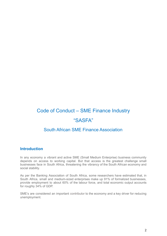# Code of Conduct – SME Finance Industry "SASFA"

# South African SME Finance Association

#### <span id="page-2-0"></span>**Introduction**

In any economy a vibrant and active SME (Small Medium Enterprise) business community depends on access to working capital. But that access is the greatest challenge small businesses face in South Africa, threatening the vibrancy of the South African economy and social stability.

As per the Banking Association of South Africa, some researchers have estimated that, in South Africa, small and medium-sized enterprises make up 91% of formalized businesses, provide employment to about 60% of the labour force, and total economic output accounts for roughly 34% of GDP.

SME's are considered an important contributor to the economy and a key driver for reducing unemployment.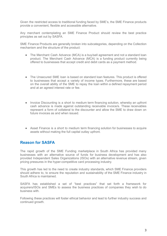Given the restricted access to traditional funding faced by SME's, the SME Finance products provide a convenient, flexible and accessible alternative.

Any merchant contemplating an SME Finance Product should review the best practice principles as set out by SASFA.

SME Finance Products are generally broken into subcategories, depending on the Collection mechanism and the structure of the product:

- The Merchant Cash Advance (MCA) is a buy/sell agreement and not a standard loan product. The Merchant Cash Advance (MCA) is a funding product currently being offered to businesses that accept credit and debit cards as a payment method.
- The Unsecured SME loan is based on standard loan features. This product is offered to businesses that accept a variety of income types. Furthermore, these are based on the overall ability of the SME to repay the loan within a defined repayment period and at an agreed interest rate or fee.
- Invoice Discounting is a short to medium term financing solution, whereby an upfront cash advance is made against outstanding receivable invoice/s. These receivables represent a form of collateral to the discounter and allow the SME to draw down on future invoices as and when issued.
- Asset Finance is a short to medium term financing solution for businesses to acquire assets without making the full capital outlay upfront.

#### <span id="page-3-0"></span>**Reason for SASFA**

The rapid growth of the SME Funding marketplace in South Africa has provided many businesses with an alternative source of funds for business development and has also provided Independent Sales Organizations (ISOs) with an alternative revenue stream, given pricing pressures in the hyper-competitive card processing industry.

This growth has led to the need to create industry standards, which SME Finance providers should adhere to, to ensure the reputation and sustainability of the SME Finance industry in South Africa is maintained.

SASFA has established a set of "best practices" that set forth a framework for acquirers/ISOs and SMEs to assess the business practices of companies they wish to do business with.

Following these practices will foster ethical behavior and lead to further industry success and continued growth.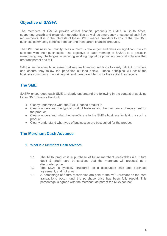# <span id="page-4-0"></span>**Objective of SASFA**

The members of SASFA provide critical financial products to SMEs in South Africa, supporting growth and expansion opportunities as well as emergency or seasonal cash flow requirements. It is in the interests of these SME Finance providers to ensure that the SME business community benefits from fair and transparent financial products.

The SME business community faces numerous challenges and takes on significant risks to succeed with their businesses. The objective of each member of SASFA is to assist in overcoming any challenges in securing working capital by providing financial solutions that are transparent and fair.

SASFA encourages businesses that require financing solutions to verify SASFA providers and ensure they follow the principles outlined below. These principles will assist the business community in obtaining fair and transparent terms for the capital they require.

# <span id="page-4-1"></span>**The SME**

SASFA encourages each SME to clearly understand the following in the context of applying for an SME Finance Product;

- Clearly understand what the SME Finance product is
- Clearly understand the typical product features and the mechanics of repayment for the product
- Clearly understand what the benefits are to the SME's business for taking a such a product
- Clearly understand what type of businesses are best suited for the product

# <span id="page-4-3"></span><span id="page-4-2"></span>**The Merchant Cash Advance**

- 1. What is a Merchant Cash Advance
	- 1.1. The MCA product is a purchase of future merchant receivables (i.e. future debit & credit card transactions that the merchant will process) at a discounted price.
	- 1.2. The MCA is typically structured as a discounted sale and purchase agreement, and not a loan.
	- 1.3. A percentage of future receivables are paid to the MCA provider as the card transactions occur, until the purchase price has been fully repaid. This percentage is agreed with the merchant as part of the MCA contact.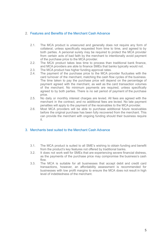#### <span id="page-5-0"></span>2. Features and Benefits of the Merchant Cash Advance

- 2.1. The MCA product is unsecured and generally does not require any form of collateral, unless specifically requested from time to time, and agreed to by both parties. A personal surety may be required to protect the MCA provider from certain acts of bad faith by the merchant to intentionally avoid payment of the purchase price to the MCA provider.
- 2.2. The MCA product takes less time to process than traditional bank finance, and MCA providers are able to finance SMEs that banks typically would not.
- 2.3. The MCA product has higher funding approval rates.
- 2.4. The payment of the purchase price to the MCA provider fluctuates with the card turnover of the merchant, matching the cash flow cycles of the business. The time taken to pay the purchase price will depend on the percentage of payment agreed with the merchant, as well as the card transaction volumes of the merchant. No minimum payments are required, unless specifically agreed to by both parties. There is no set period of payment of the purchase price.
- 2.5. No daily or monthly interest charges are levied. All fees are agreed with the merchant in the contract, and no additional fees are levied. No late payment penalties will apply to the payment of the receivables to the MCA provider.
- 2.6. Most MCA providers will be able to purchase additional future receivables before the original purchase has been fully recovered from the merchant. This can provide the merchant with ongoing funding should their business require it.

#### <span id="page-5-1"></span>3. Merchants best suited to the Merchant Cash Advance

- 3.1. The MCA product is suited to all SME's wishing to obtain funding and benefit from the product's key features not offered by traditional banks.
- 3.2. It does not work well for SMEs that are experiencing severe financial distress, as the payments of the purchase price may compromise the business's cash flow.
- 3.3. The MCA is suitable for all businesses that accept debit and credit card transactions, however, an affordability assessment is recommended for businesses with low profit margins to ensure the MCA does not result in high level of indebtedness of the merchant.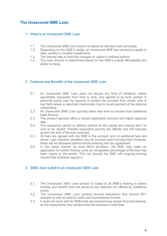# <span id="page-6-1"></span><span id="page-6-0"></span>**The Unsecured SME Loan**

#### 1. What is an Unsecured SME Loan

- 1.1. The Unsecured SME loan product is based on standard loan principals.
- 1.2. Depending on the SME's needs, an Unsecured SME loan product is repaid in daily, weekly or monthly installments.
- 1.3. The interest rate or fixed fee charged on capital is defined upfront.
- 1.4. The loan amount is determined based on the SME's overall affordability and ability to repay.

#### <span id="page-6-2"></span>2. Features and Benefits of the Unsecured SME Loan

- 2.1. An Unsecured SME Loan does not require any form of collateral, unless specifically requested from time to time, and agreed to by both parties. A personal surety may be required to protect the provider from certain acts of bad faith where a merchant intentionally tries to avoid payment of the balance outstanding.
- 2.2. An Unsecured SME Loan typically takes less time to process than traditional bank finance.
- 2.3. The product typically offers a simple application process and higher approval rate.
- 2.4. The repayment period is defined upfront for the capital and interest and / or cost to be repaid. Flexible repayment periods are offered and will naturally govern the size of the loan awarded.
- 2.5. All fees are agreed with the SME in the contract, and no additional fees are levied. Late payment penalties may be incurred upon non-payment, however, these will be disclosed upfront before entering into any agreement.
- 2.6. In the same manner as most MCA providers, the SME may make an application for further finance once an acceptable percentage of the loan has been repaid to the lender. This can provide the SME with ongoing funding should their business require it.

#### <span id="page-6-3"></span>3. SMEs best suited to an Unsecured SME Loan

- 3.1. The Unsecured SME Loan product is suited to all SME's wishing to obtain funding and benefit from the product's key features not offered by traditional banks.
- 3.2. The Unsecured SME Loan product favours merchant's that receive EFT receipts as well as debit & credit card transactional income.
- 3.3. It does not work well for SMEs that are experiencing severe financial distress, as the repayments may compromise the business's cash flow.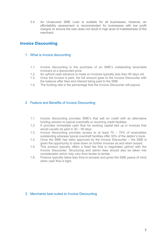3.4. An Unsecured SME Loan is suitable for all businesses, however, an affordability assessment is recommended for businesses with low profit margins to ensure the loan does not result in high level of indebtedness of the merchant.

# <span id="page-7-1"></span><span id="page-7-0"></span>**Invoice Discounting**

#### 1. What is invoice discounting

- 1.1. Invoice discounting is the purchase of an SME's outstanding receivable invoice/s at a discounted price.
- 1.2. An upfront cash advance is made on invoices typically less than 90 days old.
- 1.3. Once the invoice is paid, the full amount goes to the Invoice Discounter with the balance after fees and interest being paid to the SME.
- 1.4. The funding rate is the percentage that the Invoice Discounter will payout.

#### <span id="page-7-2"></span>2. Feature and Benefits of Invoice Discounting

- 1.1. Invoice discounting provides SME's that sell on credit with an alternative funding solution to typical overdrafts or revolving credit facilities.
- 1.2. It provides immediate cash flow for working capital tied up in invoices that would usually be paid in 30 – 90 days.
- 1.3. Invoice discounting provides access to at least 70 75% of receivables outstanding whereas typical overdraft facilities offer 30% of the debtor's book.
- 1.4. Once the SME has been approved by the Invoice Discounter the SME is given the opportunity to draw down on further invoices as and when issued.
- 1.5. This product typically offers a fixed fee that is negotiated upfront with the Invoice Discounter. Structuring and admin fees should also be taken into consideration which may vary from lender to lender.
- 1.6. Finance typically takes less time to process and gives the SME peace of mind when cash flow is tight.

#### <span id="page-7-3"></span>3. Merchants best suited to Invoice Discounting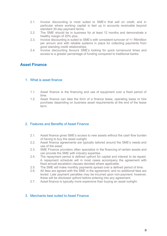- 2.1. Invoice discounting is most suited to SME's that sell on credit, and in particular where working capital is tied up in accounts receivable beyond standard 30-day payment terms.
- 2.2. The SME should be in business for at least 12 months and demonstrate a healthy margin of 20% plus.
- 2.3. Invoice discounting is suited to SME's with consistent turnover of +/- R6million per annum and with reliable systems in place for collecting payments from good standing credit relationships.
- 2.4. Invoice discounting favours SME's looking for quick turnaround times and access to a greater percentage of funding compared to traditional banks.

### <span id="page-8-1"></span><span id="page-8-0"></span>**Asset Finance**

#### 1. What is asset finance

- 1.1. Asset finance is the financing and use of equipment over a fixed period of time.
- 1.2. Asset finance can take the form of a finance lease, operating lease or hire purchase depending on business asset requirements at the end of the lease term.

#### <span id="page-8-2"></span>2. Features and Benefits of Asset Finance

- 2.1. Asset finance gives SME's access to new assets without the cash flow burden of having to buy the asset outright.
- 2.2. Asset finance agreements are typically tailored around the SME's needs and use of the asset.
- 2.3. SME Finance providers often specialize in the financing of certain assets and can provide the SME with industry expertise.
- 2.4. The repayment period is defined upfront for capital and interest to be repaid. A repayment schedule will in most cases accompany the agreement with fixed annual escalation clauses denoted where applicable.
- 2.5. The SME will make monthly payments spread over a defined period of time.
- 2.6. All fees are agreed with the SME in the agreement, and no additional fees are levied. Late payment penalties may be incurred upon non-payment, however, these will be disclosed upfront before entering into any agreement.
- 2.7. Asset finance is typically more expensive than buying an asset outright.

#### <span id="page-8-3"></span>3. Merchants best suited to Asset Finance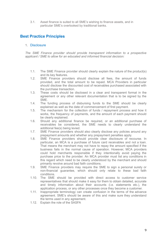3.1. Asset finance is suited to all SME's wishing to finance assets, and in particular SME's overlooked by traditional banks.

# <span id="page-9-0"></span>**Best Practice Principles**

#### 1. Disclosure

*The SME Finance provider should provide transparent information to a prospective applicant / SME to allow for an educated and informed financial decision:*

- 1.1. The SME Finance provider should clearly explain the nature of the product(s) and its key features.
- 1.2. SME Finance providers should disclose all fees, the amount of funds provided, and the total amount to be repaid. MCA Providers in particular should disclose the discounted cost of receivables purchased associated with the purchase transaction.
- 1.3. These costs should be disclosed in a clear and transparent format in the agreement or any other relevant documentation that is to be signed by the SME.
- 1.4. The funding process of disbursing funds to the SME should be clearly explained as well as the date of commencement of first payment.
- 1.5. The mechanism for the collection of funds / repayment process and how it works, the frequency of payments, and the amount of each payment should be clearly explained.
- 1.6. Should any additional finance be required, or an additional purchase of receivables be considered, the SME needs to clearly understand the additional fee(s) being levied.
- 1.7. SME Finance providers should also clearly disclose any policies around any prepayment amounts and whether any prepayment penalties apply.
- 1.8. SME Finance providers should provide clear disclosure of recourse. In particular, an MCA is a purchase of future card receivables and not a loan. That means the merchant may not have to repay the amount specified if the business fails in the normal cause of operation. However, MCA providers could hold merchants responsible if they intentionally avoid paying the purchase price to the provider. An MCA provider must list any conditions in this regard which need to be clearly understood by the merchant and should primarily revolve around bad faith conditions.
- 1.9. SME Finance providers may require the SME to sign a personal surety or non-financial guarantee, which should only relate to these bad faith conditions.
- 1.10. The SME should be provided with direct access to customer service representatives that should make it easy for them to obtain detailed, accurate and timely information about their accounts (i.e. statements etc.), the application process, or any other processes once they become a customer.
- 1.11. Inappropriate terminology can create confusion in the terms of the advance agreement. SME's should be aware of this and make sure they understand the terms used in any agreement.
- 1.12. Explain the role of the SASFA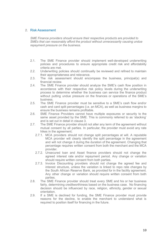#### 2. Risk Assessment

*SME Finance providers should ensure their respective products are provided to SMEs that can reasonably afford the product without unnecessarily causing undue repayment pressure on the business.*

- 2.1. The SME Finance provider should implement well-developed underwriting policies and procedures to ensure appropriate credit risk and affordability criteria are met.
- 2.2. Underwriting policies should continually be reviewed and refined to maintain their appropriateness and relevance.
- 2.3. The risk assessment should encompass the business, principal(s) and financial review.
- 2.4. The SME Finance provider should analyze the SME's cash flow position in accordance with their respective risk policy levels during the underwriting process to determine whether the business can service the finance product without putting undue pressure on the finances or operations of the SME's business.
- 2.5. The SME Finance provider must be sensitive to a SME's cash flow and/or cash and card split percentages (i.e. an MCA), as well as business margins to ensure the business remains profitable.
- 2.6. SME Finance Providers cannot have multiple exposures or security to the same asset provided by the SME. This is commonly referred to as 'stacking' and is set out in detail in clause 3.
- 2.7. The SME Finance provider should not alter any term of the agreement without mutual consent by all parties. In particular, the provider must avoid any rate hikes in the agreement;
	- 2.7.1. MCA providers should not change split percentages at will. A reputable MCA provider will clearly identify the split percentage in the agreement and will not change it during the duration of the agreement. Changing that percentage requires written consent from both the merchant and the MCA provider.
	- 2.7.2. Unsecured loan and Asset finance providers should not change the agreed interest rate and/or repayment period. Any change or variation should require written consent from both parties.
	- 2.7.3. Invoice Discounting providers should not change the agreed fee and interest structure, unless the variation is linked to repo rate changes by the South African Reserve Bank, as provided for in the facility agreement. Any other change or variation should require written consent from both parties.
- 2.8. The SME Finance provider should treat every SME and his or her business fairly, determining creditworthiness based on the business case. No financing decision should be influenced by race, religion, ethnicity, gender or sexual orientation.
- 2.9. If a SME is declined for funding, the SME Finance provider must provide reasons for the decline, to enable the merchant to understand what is required to position itself for financing in the future.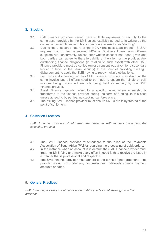#### 3. Stacking

- 3.1. SME Finance providers cannot have multiple exposures or security to the same asset provided by the SME unless explicitly agreed to in writing by the original or current financier. This is commonly referred to as 'stacking'.
- 3.2. Due to the unsecured nature of the MCA / Business Loan product, SASFA requires that no two unsecured MCA or Business Loans from different suppliers run concurrently, unless prior written consent has been given and both parties can agree to the affordability of the client or the provider. Any outstanding finance obligations (in relation to such asset) with other SME Finance providers must be settled (unless consent was given for a secondary lender to lend on the same security) at the point of providing funding / disbursement, to avoid the SME having to repay multiple obligations.
- 3.3. For Invoice discounting, no two SME Finance providers may discount the same invoice and all efforts need to be made to ensure that single or bulk invoices being discounted are only being held as security by one SME Finance provider.
- 3.4. Asset Finance typically refers to a specific asset where ownership is transferred to the finance provider during the term of funding. In this case unless agreed to by parties, no stacking can take place.
- 3.5. The exiting SME Finance provider must ensure SME's are fairly treated at the point of settlement.

#### 4. Collection Practices

*SME Finance providers should treat the customer with fairness throughout the collection process.*

- 4.1. The SME Finance provider must adhere to the rules of the Payments Association of South Africa (PASA) regarding the processing of debit orders.
- 4.2. In the instance when an account is in default, the SME Finance provider must treat the SME fairly and make every effort in good faith to resolve the issue in a manner that is professional and respectful.
- 4.3. The SME Finance provider must adhere to the terms of the agreement. The provider should not under any circumstances unilaterally change payment amounts or dates.

#### 5. General Practices

*SME Finance providers should always be truthful and fair in all dealings with the business.*